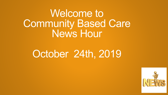Welcome to **Community Based Care** News Hour

### October 24th, 2019

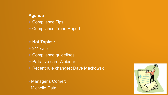#### **Agenda**

- Compliance Tips:
- Compliance Trend Report
- **Hot Topics:**
- 911 calls
- Compliance guidelines
- Palliative care Webinar
- Recent rule changes: Dave Mackowski
- Manager's Corner: **Michelle Cate**

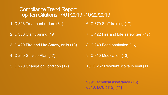#### Compliance Trend Report Top Ten Citations: 7/01/2019 -10/22/2019

1: C 303 Treatment orders (31)

6: C 370 Staff training (17)

2: C 360 Staff training (19)

3: C 420 Fire and Life Safety, drills (18)

4: C 260 Service Plan (17)

5: C 270 Change of Condition (17)

7: C 422 Fire and Life safety gen (17)

8: C 240 Food sanitation (16)

9: C 310 Medication (13)

10: C 252 Resident Move in eval (11)

999: Technical assistance (16) 0010: LCU (112) [#1]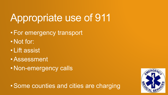# Appropriate use of 911

- •For emergency transport
- Not for:
- Lift assist
- •Assessment
- Non-emergency calls

•Some counties and cities are charging

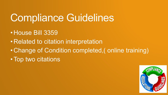## Compliance Guidelines

- House Bill 3359
- Related to citation interpretation
- Change of Condition completed,( online training)
- Top two citations

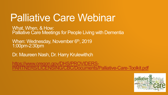### Palliative Care Webinar

What, When, & How: Palliative Care Meetings for People Living with Dementia

When: Wednesday, November 6<sup>th</sup>, 2019 1:00pm-2:30pm

Dr. Maureen Nash, Dr. Harry Krulewithch

https://www.oregon.gov/DHS/PROVIDERS-[PARTNERS/LICENSING/CBC/Documents/Palliative-Care-Toolkit.pdf](https://www.oregon.gov/DHS/PROVIDERS-PARTNERS/LICENSING/CBC/Documents/Palliative-Care-Toolkit.pdf)

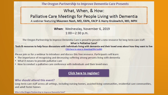The Oregon Partnership to Improve Dementia Care Presents What, When, & How:

Palliative Care Meetings for People Living with Dementia

A webinar featuring Maureen Nash, MD, FAPA, FACP & Harry Krulewitch, MD, MPH

When: Wednesday, November 6, 2019  $1:00 - 2:30$  p.m.

The Oregon Partnership to Improve Dementia Care is proud to present a new resource for long-term care staff:

**What is Palliative Care?** 

Tools & resources to help focus discussions with individuals living with dementia and their loved ones about how they want to live Click here to view or download the toolkit

Please join us for a webinar to introduce and discuss this free resource. Participants will learn:

- The importance of recognizing and decreasing suffering among persons living with dementia
- What it means to provide palliative care
- How to conduct a palliative care conference with individuals and their loved ones

#### **Click here to register!**

#### Who should attend this event?

Long-term care staff across all settings, including nursing homes, assisted living communities, residential care communities, and adult foster homes

Who is the Oregon Partnership to Improve Dementia Care?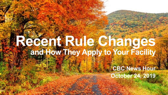# **Recent Rule Changes and How They Apply to Your Facility**

**CBC News Hour October 24, 2019**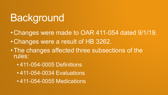# Background

- Changes were made to OAR 411-054 dated 9/1/19.
- Changes were a result of HB 3262.
- •The changes affected three subsections of the rules:
	- 411-054-0005 Definitions
	- 411-054-0034 Evaluations
	- 411-054-0055 Medications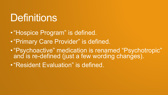### Definitions

•"Hospice Program" is defined.

- •"Primary Care Provider" is defined.
- •"Psychoactive" medication is renamed "Psychotropic" and is re-defined (just a few wording changes).

•"Resident Evaluation" is defined.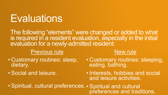## **Evaluations**

The following "elements" were changed or added to what is required in a resident evaluation, especially in the initial evaluation for a newly-admitted resident:

### Previous rule

- Customary routines: sleep, dietary.
- Social and leisure.

• Customary routines: sleeping, eating, bathing.

New rule

• Interests, hobbies and social and leisure activities.

• Spiritual, cultural preferences. • Spiritual and cultural preferences and traditions.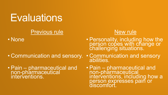### **Evaluations**

### Previous rule

• None

### New rule

- Personality, including how the person copes with change or challenging situations.
- Communication and sensory.
- Pain pharmaceutical and non-pharmaceutical interventions.
- Communication and sensory abilities.
- Pain pharmaceutical and non-pharmaceutical interventions, including how a person expresses pain or discomfort.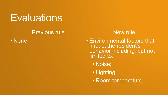### **Evaluations**

### Previous rule

• None

### New rule

• Environmental factors that impact the resident's behavior including, but not limited to:

- Noise;
- Lighting;
- Room temperature.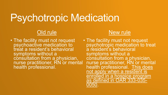### Old rule

• The facility must not request psychoactive medication to treat a resident's behavioral symptoms without a consultation from a physician, nurse practitioner, RN or mental health professional.

### New rule

• The facility must not request psychotropic medication to treat a resident's behavioral symptoms without a consultation from a physician, nurse practitioner, RN or mental health professional. This does not apply when a resident is enrolled in a hospice program as defined in OAR 333-035- 0050.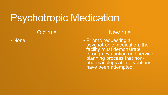#### Old rule

• None

### New rule

• Prior to requesting a psychotropic medication, the facility must demonstrate through evaluation and serviceplanning process that nonpharmacological interventions have been attempted.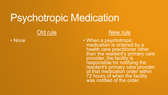#### Old rule

• None

#### New rule

• When a psychotropic medication is ordered by a health care practitioner other than the resident's primary care provider, the facility is responsible for notifying the resident's primary care provider of that medication order within 72 hours of when the facility was notified of the order.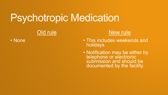### Old rule

• None

### New rule

- This includes weekends and holidays.
- Notification may be either by telephone or electronic submission and should be documented by the facility.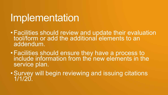### Implementation

- •Facilities should review and update their evaluation tool/form or add the additional elements to an addendum.
- •Facilities should ensure they have a process to include information from the new elements in the service plan.
- •Survey will begin reviewing and issuing citations 1/1/20.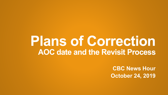## **Plans of Correction AOC date and the Revisit Process**

**CBC News Hour October 24, 2019**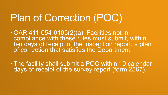# Plan of Correction (POC)

- •OAR 411-054-0105(2)(a): Facilities not in compliance with these rules must submit, within ten days of receipt of the inspection report, a plan of correction that satisfies the Department.
- •The facility shall submit a POC within 10 calendar days of receipt of the survey report (form 2567).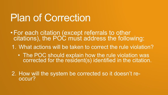## Plan of Correction

- •For each citation (except referrals to other citations), the POC must address the following:
- 1. What actions will be taken to correct the rule violation?
	- The POC should explain how the rule violation was corrected for the resident(s) identified in the citation.

2. How will the system be corrected so it doesn't reoccur?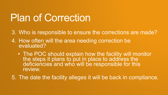## Plan of Correction

- 3. Who is responsible to ensure the corrections are made?
- 4. How often will the area needing correction be evaluated?
	- The POC should explain how the facility will monitor the steps it plans to put in place to address the deficiencies and who will be responsible for this review.
- 5. The date the facility alleges it will be back in compliance.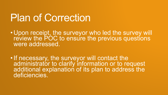### Plan of Correction

- Upon receipt, the surveyor who led the survey will review the POC to ensure the previous questions were addressed.
- •If necessary, the surveyor will contact the administrator to clarify information or to request additional explanation of its plan to address the deficiencies.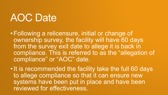# AOC Date

•Following a relicensure, initial or change of ownership survey, the facility will have 60 days from the survey exit date to allege it is back in compliance. This is referred to as the "allegation of compliance" or "AOC" date.

•It is recommended the facility take the full 60 days to allege compliance so that it can ensure new systems have been put in place and have been reviewed for effectiveness.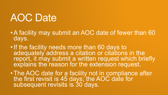# AOC Date

- •A facility may submit an AOC date of fewer than 60 days.
- •If the facility needs more than 60 days to adequately address a citation or citations in the report, it may submit a written request which briefly explains the reason for the extension request.
- •The AOC date for a facility not in compliance after the first revisit is 45 days; the AOC date for subsequent revisits is 30 days.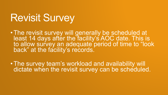## Revisit Survey

•The revisit survey will generally be scheduled at least 14 days after the facility's AOC date. This is to allow survey an adequate period of time to "look back" at the facility's records.

•The survey team's workload and availability will dictate when the revisit survey can be scheduled.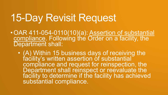## 15-Day Revisit Request

- OAR 411-054-0110(10)(a): Assertion of substantial compliance. Following the Order on a facility, the Department shall:
	- (A) Within 15 business days of receiving the facility's written assertion of substantial compliance and request for reinspection, the Department shall reinspect or reevaluate the facility to determine if the facility has achieved substantial compliance.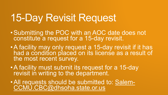# 15-Day Revisit Request

- •Submitting the POC with an AOC date does not constitute a request for a 15-day revisit.
- •A facility may only request a 15-day revisit if it has had a condition placed on its license as a result of the most recent survey.
- •A facility must submit its request for a 15-day revisit in writing to the department.
- •All requests should be submitted to: Salem-CCMU.CBC@dhsoha.state.or.us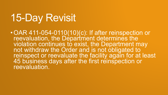# 15-Day Revisit

•OAR 411-054-0110(10)(c): If after reinspection or reevaluation, the Department determines the violation continues to exist, the Department may not withdraw the Order and is not obligated to reinspect or reevaluate the facility again for at least 45 business days after the first reinspection or reevaluation.